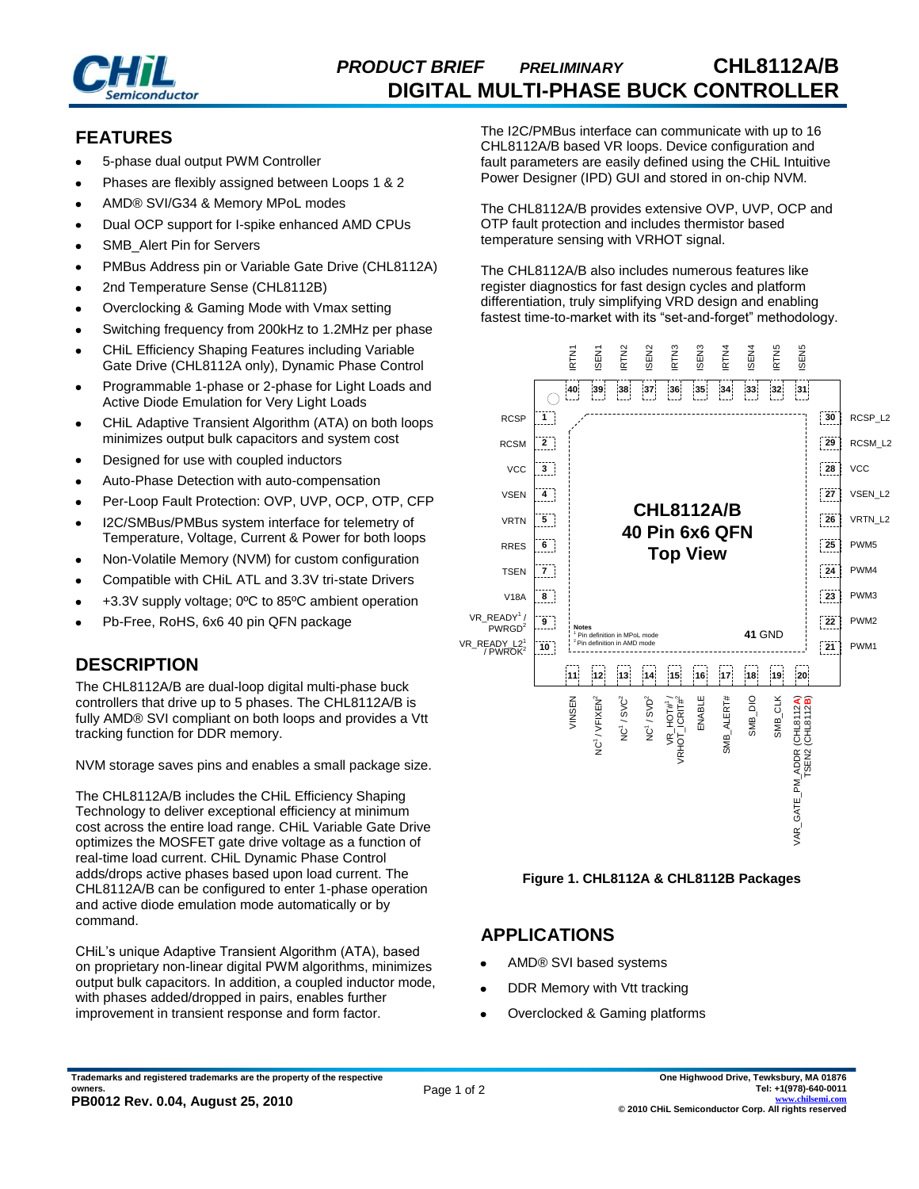

# *PRODUCT BRIEF PRELIMINARY* **CHL8112A/B DIGITAL MULTI-PHASE BUCK CONTROLLER**

## **FEATURES**

- 5-phase dual output PWM Controller
- Phases are flexibly assigned between Loops 1 & 2
- AMD® SVI/G34 & Memory MPoL modes
- Dual OCP support for I-spike enhanced AMD CPUs
- SMB\_Alert Pin for Servers
- PMBus Address pin or Variable Gate Drive (CHL8112A)
- 2nd Temperature Sense (CHL8112B)
- Overclocking & Gaming Mode with Vmax setting
- Switching frequency from 200kHz to 1.2MHz per phase
- CHiL Efficiency Shaping Features including Variable Gate Drive (CHL8112A only), Dynamic Phase Control
- Programmable 1-phase or 2-phase for Light Loads and Active Diode Emulation for Very Light Loads
- CHiL Adaptive Transient Algorithm (ATA) on both loops minimizes output bulk capacitors and system cost
- Designed for use with coupled inductors
- Auto-Phase Detection with auto-compensation
- Per-Loop Fault Protection: OVP, UVP, OCP, OTP, CFP
- I2C/SMBus/PMBus system interface for telemetry of Temperature, Voltage, Current & Power for both loops
- Non-Volatile Memory (NVM) for custom configuration
- Compatible with CHiL ATL and 3.3V tri-state Drivers
- +3.3V supply voltage; 0ºC to 85ºC ambient operation
- Pb-Free, RoHS, 6x6 40 pin QFN package

## **DESCRIPTION**

The CHL8112A/B are dual-loop digital multi-phase buck controllers that drive up to 5 phases. The CHL8112A/B is fully AMD® SVI compliant on both loops and provides a Vtt tracking function for DDR memory.

NVM storage saves pins and enables a small package size.

The CHL8112A/B includes the CHiL Efficiency Shaping Technology to deliver exceptional efficiency at minimum cost across the entire load range. CHiL Variable Gate Drive optimizes the MOSFET gate drive voltage as a function of real-time load current. CHiL Dynamic Phase Control adds/drops active phases based upon load current. The CHL8112A/B can be configured to enter 1-phase operation and active diode emulation mode automatically or by command.

CHiL's unique Adaptive Transient Algorithm (ATA), based on proprietary non-linear digital PWM algorithms, minimizes output bulk capacitors. In addition, a coupled inductor mode, with phases added/dropped in pairs, enables further improvement in transient response and form factor.

The I2C/PMBus interface can communicate with up to 16 CHL8112A/B based VR loops. Device configuration and fault parameters are easily defined using the CHiL Intuitive Power Designer (IPD) GUI and stored in on-chip NVM.

The CHL8112A/B provides extensive OVP, UVP, OCP and OTP fault protection and includes thermistor based temperature sensing with VRHOT signal.

The CHL8112A/B also includes numerous features like register diagnostics for fast design cycles and platform differentiation, truly simplifying VRD design and enabling fastest time-to-market with its "set-and-forget" methodology.



#### **Figure 1. CHL8112A & CHL8112B Packages**

#### **APPLICATIONS**

- AMD® SVI based systems
- DDR Memory with Vtt tracking
- Overclocked & Gaming platforms